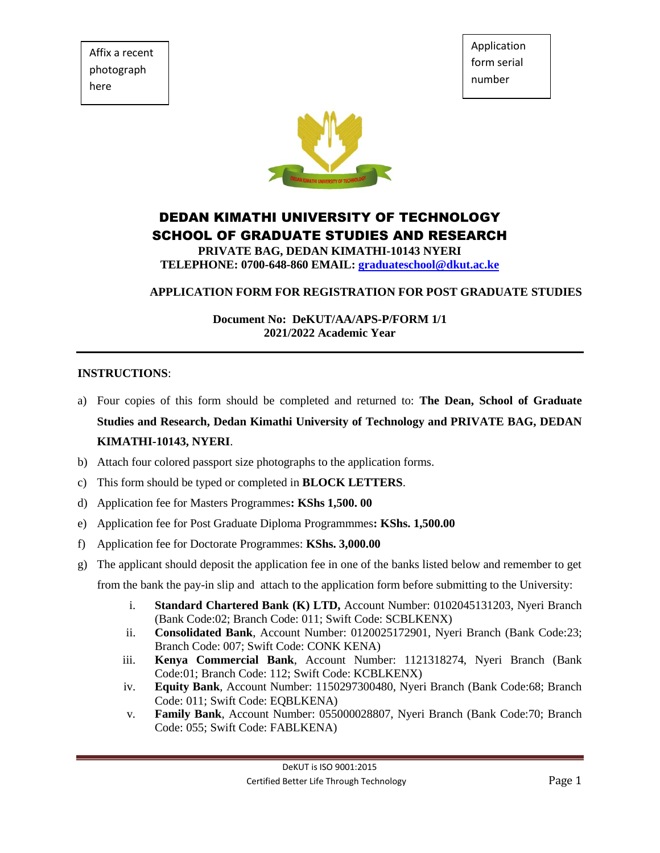Affix a recent photograph here

Application form serial number



# DEDAN KIMATHI UNIVERSITY OF TECHNOLOGY SCHOOL OF GRADUATE STUDIES AND RESEARCH

**PRIVATE BAG, DEDAN KIMATHI-10143 NYERI TELEPHONE: 0700-648-860 EMAIL: [graduateschool@dkut.ac.ke](mailto:graduateschool@dkut.ac.ke)**

#### **APPLICATION FORM FOR REGISTRATION FOR POST GRADUATE STUDIES**

**Document No: DeKUT/AA/APS-P/FORM 1/1 2021/2022 Academic Year**

#### **INSTRUCTIONS**:

- a) Four copies of this form should be completed and returned to: **The Dean, School of Graduate Studies and Research, Dedan Kimathi University of Technology and PRIVATE BAG, DEDAN KIMATHI-10143, NYERI**.
- b) Attach four colored passport size photographs to the application forms.
- c) This form should be typed or completed in **BLOCK LETTERS**.
- d) Application fee for Masters Programmes**: KShs 1,500. 00**
- e) Application fee for Post Graduate Diploma Programmmes**: KShs. 1,500.00**
- f) Application fee for Doctorate Programmes: **KShs. 3,000.00**
- g) The applicant should deposit the application fee in one of the banks listed below and remember to get

from the bank the pay-in slip and attach to the application form before submitting to the University:

- i. **Standard Chartered Bank (K) LTD,** Account Number: 0102045131203, Nyeri Branch (Bank Code:02; Branch Code: 011; Swift Code: SCBLKENX)
- ii. **Consolidated Bank**, Account Number: 0120025172901, Nyeri Branch (Bank Code:23; Branch Code: 007; Swift Code: CONK KENA)
- iii. **Kenya Commercial Bank**, Account Number: 1121318274, Nyeri Branch (Bank Code:01; Branch Code: 112; Swift Code: KCBLKENX)
- iv. **Equity Bank**, Account Number: 1150297300480, Nyeri Branch (Bank Code:68; Branch Code: 011; Swift Code: EQBLKENA)
- v. **Family Bank**, Account Number: 055000028807, Nyeri Branch (Bank Code:70; Branch Code: 055; Swift Code: FABLKENA)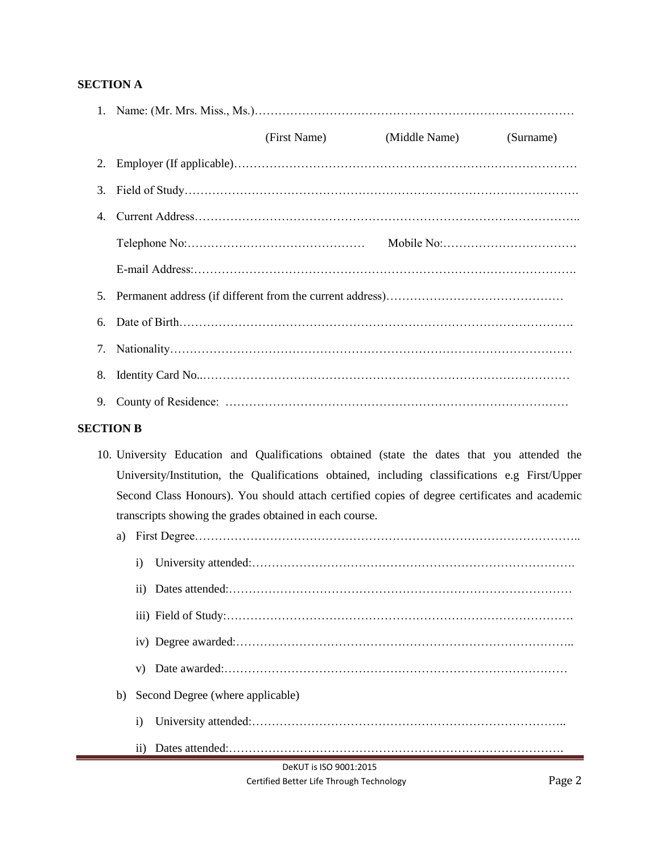## **SECTION A**

|    | (First Name) | (Middle Name) | (Surname) |  |  |
|----|--------------|---------------|-----------|--|--|
|    |              |               |           |  |  |
| 3. |              |               |           |  |  |
| 4. |              |               |           |  |  |
|    |              |               |           |  |  |
|    |              |               |           |  |  |
|    |              |               |           |  |  |
|    |              |               |           |  |  |
| 7. |              |               |           |  |  |
| 8. |              |               |           |  |  |
| 9. |              |               |           |  |  |

#### **SECTION B**

10. University Education and Qualifications obtained (state the dates that you attended the University/Institution, the Qualifications obtained, including classifications e.g First/Upper Second Class Honours). You should attach certified copies of degree certificates and academic transcripts showing the grades obtained in each course.

| a)                     |                                  |  |  |  |
|------------------------|----------------------------------|--|--|--|
|                        | 1)                               |  |  |  |
|                        |                                  |  |  |  |
|                        |                                  |  |  |  |
|                        |                                  |  |  |  |
|                        | V)                               |  |  |  |
| b)                     | Second Degree (where applicable) |  |  |  |
|                        | $\mathbf{i}$                     |  |  |  |
|                        | 11)                              |  |  |  |
| DeKUT is ISO 9001:2015 |                                  |  |  |  |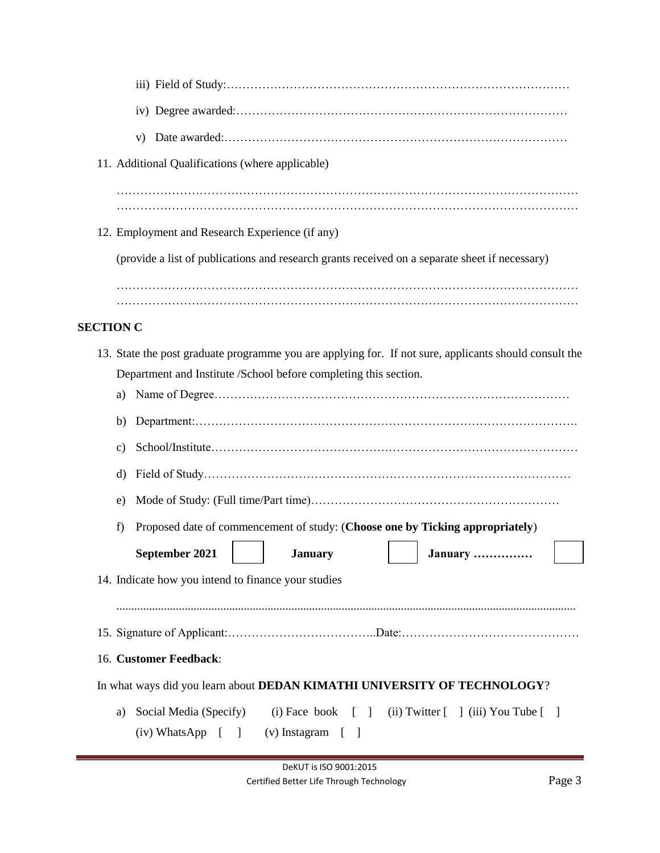|                                                                                                                                                          |                                                                                     | 11. Additional Qualifications (where applicable)    |     |                       |  |                                                                                                        |  |
|----------------------------------------------------------------------------------------------------------------------------------------------------------|-------------------------------------------------------------------------------------|-----------------------------------------------------|-----|-----------------------|--|--------------------------------------------------------------------------------------------------------|--|
|                                                                                                                                                          |                                                                                     |                                                     |     |                       |  |                                                                                                        |  |
|                                                                                                                                                          |                                                                                     |                                                     |     |                       |  |                                                                                                        |  |
|                                                                                                                                                          |                                                                                     | 12. Employment and Research Experience (if any)     |     |                       |  |                                                                                                        |  |
|                                                                                                                                                          |                                                                                     |                                                     |     |                       |  | (provide a list of publications and research grants received on a separate sheet if necessary)         |  |
|                                                                                                                                                          |                                                                                     |                                                     |     |                       |  |                                                                                                        |  |
| <b>SECTION C</b>                                                                                                                                         |                                                                                     |                                                     |     |                       |  |                                                                                                        |  |
|                                                                                                                                                          |                                                                                     |                                                     |     |                       |  |                                                                                                        |  |
|                                                                                                                                                          |                                                                                     |                                                     |     |                       |  | 13. State the post graduate programme you are applying for. If not sure, applicants should consult the |  |
|                                                                                                                                                          | Department and Institute /School before completing this section.<br>a)              |                                                     |     |                       |  |                                                                                                        |  |
|                                                                                                                                                          | b)                                                                                  |                                                     |     |                       |  |                                                                                                        |  |
|                                                                                                                                                          | c)                                                                                  |                                                     |     |                       |  |                                                                                                        |  |
|                                                                                                                                                          | d)                                                                                  |                                                     |     |                       |  |                                                                                                        |  |
|                                                                                                                                                          | e)                                                                                  |                                                     |     |                       |  |                                                                                                        |  |
|                                                                                                                                                          | Proposed date of commencement of study: (Choose one by Ticking appropriately)<br>f) |                                                     |     |                       |  |                                                                                                        |  |
|                                                                                                                                                          |                                                                                     | September 2021                                      |     | <b>January</b>        |  | January                                                                                                |  |
|                                                                                                                                                          |                                                                                     | 14. Indicate how you intend to finance your studies |     |                       |  |                                                                                                        |  |
|                                                                                                                                                          |                                                                                     |                                                     |     |                       |  |                                                                                                        |  |
|                                                                                                                                                          |                                                                                     |                                                     |     |                       |  |                                                                                                        |  |
| 16. Customer Feedback:                                                                                                                                   |                                                                                     |                                                     |     |                       |  |                                                                                                        |  |
| In what ways did you learn about DEDAN KIMATHI UNIVERSITY OF TECHNOLOGY?                                                                                 |                                                                                     |                                                     |     |                       |  |                                                                                                        |  |
| Social Media (Specify)<br>$(i)$ Face book $[ ]$<br>(ii) Twitter $\begin{bmatrix} 1 \end{bmatrix}$ (iii) You Tube $\begin{bmatrix} 1 \end{bmatrix}$<br>a) |                                                                                     |                                                     |     |                       |  |                                                                                                        |  |
|                                                                                                                                                          |                                                                                     | $(iv)$ WhatsApp $\left[ \right]$                    | - 1 | $(v)$ Instagram $[$ ] |  |                                                                                                        |  |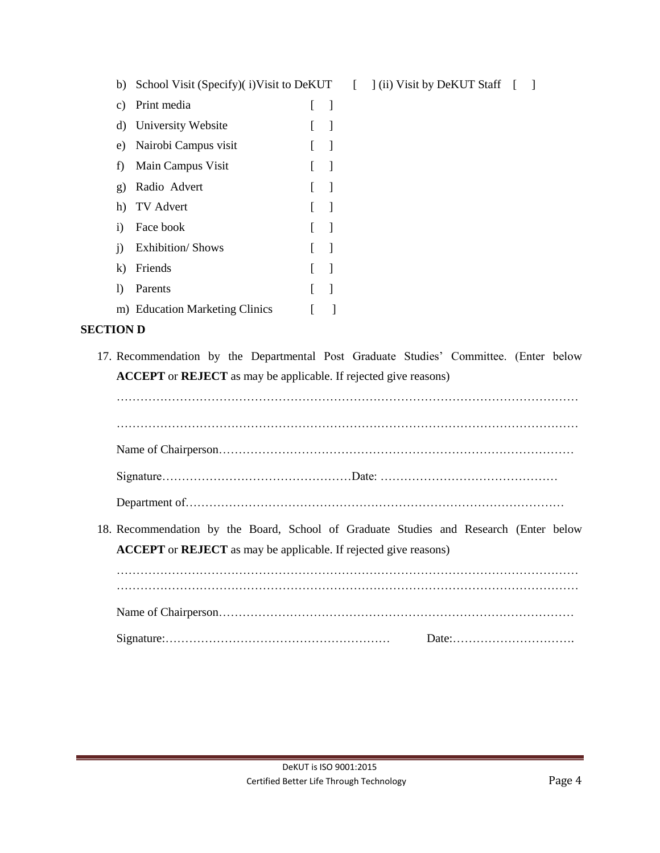| b)           | School Visit (Specify)(i) Visit to DeKUT |   |                          |
|--------------|------------------------------------------|---|--------------------------|
| C)           | Print media                              | L | $\overline{\phantom{a}}$ |
|              | d) University Website                    | L | 1                        |
|              | e) Nairobi Campus visit                  | L | $\overline{\phantom{a}}$ |
|              | f) Main Campus Visit                     | L | 1                        |
| g)           | Radio Advert                             | L | 1                        |
|              | h) TV Advert                             | L | 1                        |
| i)           | Face book                                | L | 1                        |
| $\mathbf{i}$ | <b>Exhibition/Shows</b>                  | L | 1                        |
| k)           | Friends                                  |   | 1                        |
| I)           | Parents                                  |   | $\overline{\phantom{a}}$ |
|              | m) Education Marketing Clinics           | I |                          |
|              |                                          |   |                          |

## **SECTION D**

17. Recommendation by the Departmental Post Graduate Studies' Committee. (Enter below **ACCEPT** or **REJECT** as may be applicable. If rejected give reasons)

| 18. Recommendation by the Board, School of Graduate Studies and Research (Enter below<br><b>ACCEPT</b> or <b>REJECT</b> as may be applicable. If rejected give reasons) |  |
|-------------------------------------------------------------------------------------------------------------------------------------------------------------------------|--|
|                                                                                                                                                                         |  |
|                                                                                                                                                                         |  |
|                                                                                                                                                                         |  |

 $\begin{bmatrix} \end{bmatrix}$  (ii) Visit by DeKUT Staff  $\begin{bmatrix} \end{bmatrix}$